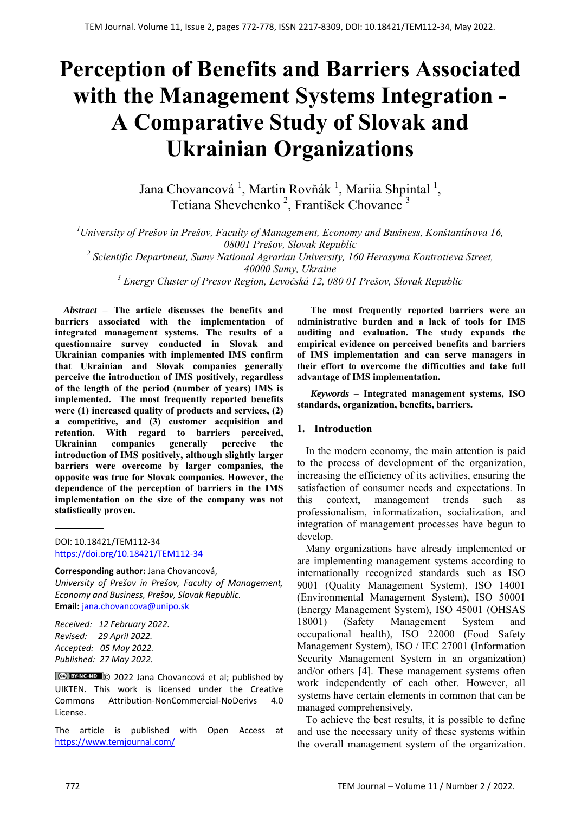# **Perception of Benefits and Barriers Associated with the Management Systems Integration - A Comparative Study of Slovak and Ukrainian Organizations**

Jana Chovancová<sup>1</sup>, Martin Rovňák<sup>1</sup>, Mariia Shpintal<sup>1</sup>, Tetiana Shevchenko<sup>2</sup>, František Chovanec<sup>3</sup>

*1 University of Prešov in Prešov, Faculty of Management, Economy and Business, Konštantínova 16, 08001 Prešov, Slovak Republic 2 Scientific Department, Sumy National Agrarian University, 160 Herasyma Kontratieva Street, 40000 Sumy, Ukraine 3 Energy Cluster of Presov Region, Levočská 12, 080 01 Prešov, Slovak Republic*

*Abstract –* **The article discusses the benefits and barriers associated with the implementation of integrated management systems. The results of a questionnaire survey conducted in Slovak and Ukrainian companies with implemented IMS confirm that Ukrainian and Slovak companies generally perceive the introduction of IMS positively, regardless of the length of the period (number of years) IMS is implemented. The most frequently reported benefits were (1) increased quality of products and services, (2) a competitive, and (3) customer acquisition and retention. With regard to barriers perceived, Ukrainian companies generally perceive the introduction of IMS positively, although slightly larger barriers were overcome by larger companies, the opposite was true for Slovak companies. However, the dependence of the perception of barriers in the IMS implementation on the size of the company was not statistically proven.** 

DOI: 10.18421/TEM112-34 [https://doi.org/10.18421/TEM112](https://doi.org/10.18421/TEM112-34)-34

**Corresponding author:** Jana Chovancová, *University of Prešov in Prešov, Faculty of Management, Economy and Business, Prešov, Slovak Republic.*  **Email:** jana.chovancova@unipo.sk

*Received: 12 February 2022. Revised: 29 April 2022. Accepted: 05 May 2022. Published: 27 May 2022.* 

C<sup>ce</sup>) BY-NC-ND © 2022 Jana Chovancová et al; published by UIKTEN. This work is licensed under the Creative Commons Attribution‐NonCommercial‐NoDerivs 4.0 License.

The article is published with Open Access at https://www.temjournal.com/

 **The most frequently reported barriers were an administrative burden and a lack of tools for IMS auditing and evaluation. The study expands the empirical evidence on perceived benefits and barriers of IMS implementation and can serve managers in their effort to overcome the difficulties and take full advantage of IMS implementation.**

 *Keywords –* **Integrated management systems, ISO standards, organization, benefits, barriers.** 

## **1. Introduction**

In the modern economy, the main attention is paid to the process of development of the organization, increasing the efficiency of its activities, ensuring the satisfaction of consumer needs and expectations. In this context, management trends such as professionalism, informatization, socialization, and integration of management processes have begun to develop.

Many organizations have already implemented or are implementing management systems according to internationally recognized standards such as ISO 9001 (Quality Management System), ISO 14001 (Environmental Management System), ISO 50001 (Energy Management System), ISO 45001 (OHSAS 18001) (Safety Management System and occupational health), ISO 22000 (Food Safety Management System), ISO / IEC 27001 (Information Security Management System in an organization) and/or others [4]. These management systems often work independently of each other. However, all systems have certain elements in common that can be managed comprehensively.

To achieve the best results, it is possible to define and use the necessary unity of these systems within the overall management system of the organization.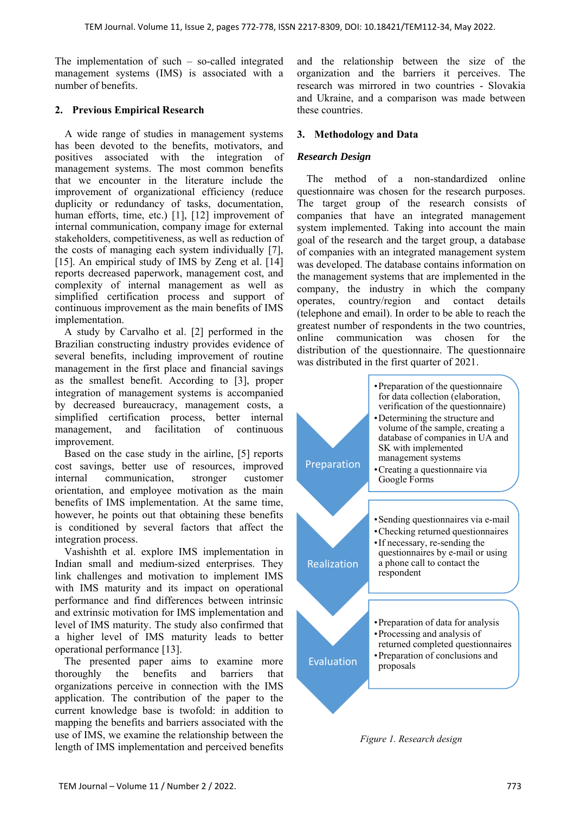The implementation of such – so-called integrated management systems (IMS) is associated with a number of benefits.

## **2. Previous Empirical Research**

A wide range of studies in management systems has been devoted to the benefits, motivators, and positives associated with the integration of management systems. The most common benefits that we encounter in the literature include the improvement of organizational efficiency (reduce duplicity or redundancy of tasks, documentation, human efforts, time, etc.) [1], [12] improvement of internal communication, company image for external stakeholders, competitiveness, as well as reduction of the costs of managing each system individually [7], [15]. An empirical study of IMS by Zeng et al. [14] reports decreased paperwork, management cost, and complexity of internal management as well as simplified certification process and support of continuous improvement as the main benefits of IMS implementation.

A study by Carvalho et al. [2] performed in the Brazilian constructing industry provides evidence of several benefits, including improvement of routine management in the first place and financial savings as the smallest benefit. According to [3], proper integration of management systems is accompanied by decreased bureaucracy, management costs, a simplified certification process, better internal management, and facilitation of continuous improvement.

Based on the case study in the airline, [5] reports cost savings, better use of resources, improved internal communication, stronger customer orientation, and employee motivation as the main benefits of IMS implementation. At the same time, however, he points out that obtaining these benefits is conditioned by several factors that affect the integration process.

Vashishth et al. explore IMS implementation in Indian small and medium-sized enterprises. They link challenges and motivation to implement IMS with IMS maturity and its impact on operational performance and find differences between intrinsic and extrinsic motivation for IMS implementation and level of IMS maturity. The study also confirmed that a higher level of IMS maturity leads to better operational performance [13].

The presented paper aims to examine more thoroughly the benefits and barriers that organizations perceive in connection with the IMS application. The contribution of the paper to the current knowledge base is twofold: in addition to mapping the benefits and barriers associated with the use of IMS, we examine the relationship between the length of IMS implementation and perceived benefits

and the relationship between the size of the organization and the barriers it perceives. The research was mirrored in two countries - Slovakia and Ukraine, and a comparison was made between these countries.

#### **3. Methodology and Data**

#### *Research Design*

The method of a non-standardized online questionnaire was chosen for the research purposes. The target group of the research consists of companies that have an integrated management system implemented. Taking into account the main goal of the research and the target group, a database of companies with an integrated management system was developed. The database contains information on the management systems that are implemented in the company, the industry in which the company operates, country/region and contact details (telephone and email). In order to be able to reach the greatest number of respondents in the two countries, online communication was chosen for the distribution of the questionnaire. The questionnaire was distributed in the first quarter of 2021.



#### *Figure 1. Research design*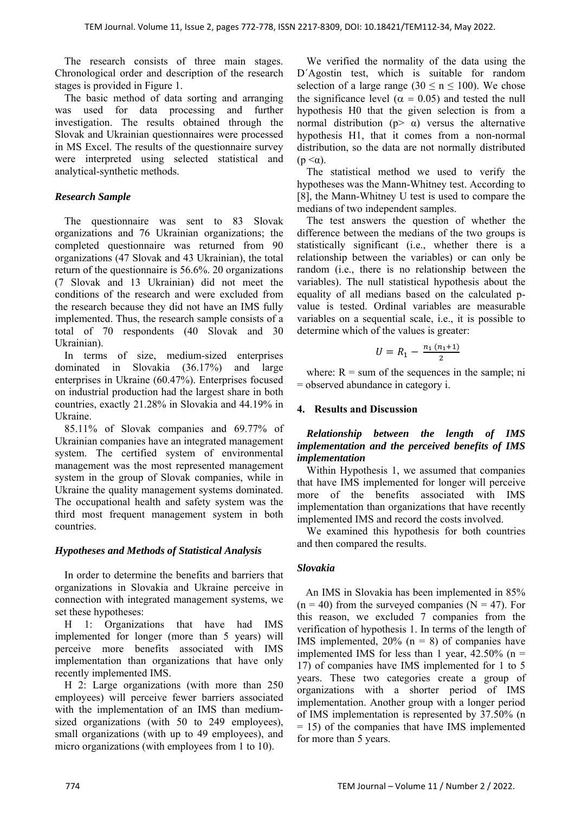The research consists of three main stages. Chronological order and description of the research stages is provided in Figure 1.

The basic method of data sorting and arranging was used for data processing and further investigation. The results obtained through the Slovak and Ukrainian questionnaires were processed in MS Excel. The results of the questionnaire survey were interpreted using selected statistical and analytical-synthetic methods.

# *Research Sample*

The questionnaire was sent to 83 Slovak organizations and 76 Ukrainian organizations; the completed questionnaire was returned from 90 organizations (47 Slovak and 43 Ukrainian), the total return of the questionnaire is 56.6%. 20 organizations (7 Slovak and 13 Ukrainian) did not meet the conditions of the research and were excluded from the research because they did not have an IMS fully implemented. Thus, the research sample consists of a total of 70 respondents (40 Slovak and 30 Ukrainian).

In terms of size, medium-sized enterprises dominated in Slovakia (36.17%) and large enterprises in Ukraine (60.47%). Enterprises focused on industrial production had the largest share in both countries, exactly 21.28% in Slovakia and 44.19% in Ukraine.

85.11% of Slovak companies and 69.77% of Ukrainian companies have an integrated management system. The certified system of environmental management was the most represented management system in the group of Slovak companies, while in Ukraine the quality management systems dominated. The occupational health and safety system was the third most frequent management system in both countries.

## *Hypotheses and Methods of Statistical Analysis*

In order to determine the benefits and barriers that organizations in Slovakia and Ukraine perceive in connection with integrated management systems, we set these hypotheses:

H 1: Organizations that have had IMS implemented for longer (more than 5 years) will perceive more benefits associated with IMS implementation than organizations that have only recently implemented IMS.

H 2: Large organizations (with more than 250 employees) will perceive fewer barriers associated with the implementation of an IMS than mediumsized organizations (with 50 to 249 employees), small organizations (with up to 49 employees), and micro organizations (with employees from 1 to 10).

We verified the normality of the data using the D´Agostin test, which is suitable for random selection of a large range (30  $\leq$  n  $\leq$  100). We chose the significance level ( $\alpha = 0.05$ ) and tested the null hypothesis H0 that the given selection is from a normal distribution (p> α) versus the alternative hypothesis H1, that it comes from a non-normal distribution, so the data are not normally distributed  $(p \leq \alpha)$ .

The statistical method we used to verify the hypotheses was the Mann-Whitney test. According to [8], the Mann-Whitney U test is used to compare the medians of two independent samples.

The test answers the question of whether the difference between the medians of the two groups is statistically significant (i.e., whether there is a relationship between the variables) or can only be random (i.e., there is no relationship between the variables). The null statistical hypothesis about the equality of all medians based on the calculated pvalue is tested. Ordinal variables are measurable variables on a sequential scale, i.e., it is possible to determine which of the values is greater:

$$
U = R_1 - \frac{n_1 (n_1 + 1)}{2}
$$

where:  $R = sum of the sequences in the sample; ni$ = observed abundance in category i.

# **4. Results and Discussion**

## *Relationship between the length of IMS implementation and the perceived benefits of IMS implementation*

Within Hypothesis 1, we assumed that companies that have IMS implemented for longer will perceive more of the benefits associated with IMS implementation than organizations that have recently implemented IMS and record the costs involved.

We examined this hypothesis for both countries and then compared the results.

# *Slovakia*

An IMS in Slovakia has been implemented in 85%  $(n = 40)$  from the surveyed companies  $(N = 47)$ . For this reason, we excluded 7 companies from the verification of hypothesis 1. In terms of the length of IMS implemented,  $20\%$  (n = 8) of companies have implemented IMS for less than 1 year,  $42.50\%$  (n = 17) of companies have IMS implemented for 1 to 5 years. These two categories create a group of organizations with a shorter period of IMS implementation. Another group with a longer period of IMS implementation is represented by 37.50% (n  $= 15$ ) of the companies that have IMS implemented for more than 5 years.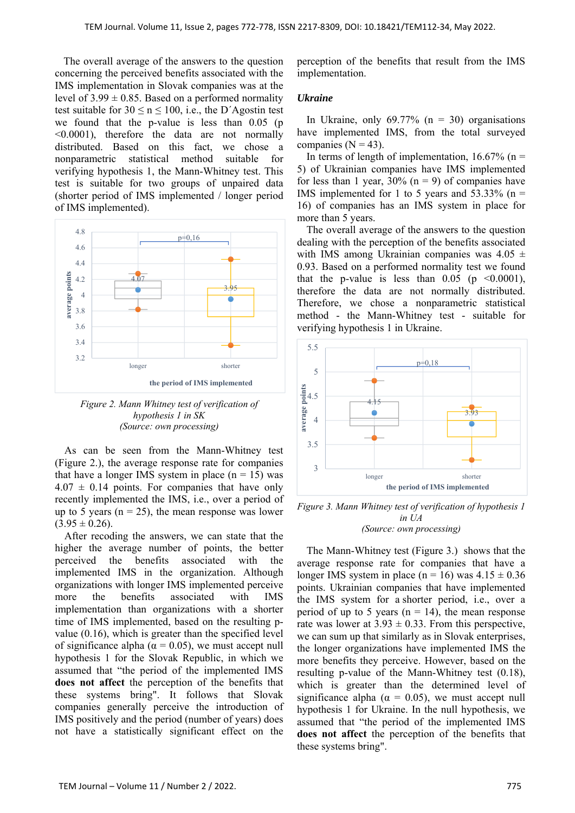The overall average of the answers to the question concerning the perceived benefits associated with the IMS implementation in Slovak companies was at the level of  $3.99 \pm 0.85$ . Based on a performed normality test suitable for  $30 \le n \le 100$ , i.e., the D'Agostin test we found that the p-value is less than 0.05 (p <0.0001), therefore the data are not normally distributed. Based on this fact, we chose a nonparametric statistical method suitable for verifying hypothesis 1, the Mann-Whitney test. This test is suitable for two groups of unpaired data (shorter period of IMS implemented / longer period of IMS implemented).



*Figure 2. Mann Whitney test of verification of hypothesis 1 in SK (Source: own processing)* 

As can be seen from the Mann-Whitney test (Figure 2.), the average response rate for companies that have a longer IMS system in place  $(n = 15)$  was  $4.07 \pm 0.14$  points. For companies that have only recently implemented the IMS, i.e., over a period of up to 5 years ( $n = 25$ ), the mean response was lower  $(3.95 \pm 0.26)$ .

After recoding the answers, we can state that the higher the average number of points, the better perceived the benefits associated with the implemented IMS in the organization. Although organizations with longer IMS implemented perceive more the benefits associated with IMS implementation than organizations with a shorter time of IMS implemented, based on the resulting pvalue (0.16), which is greater than the specified level of significance alpha ( $\alpha$  = 0.05), we must accept null hypothesis 1 for the Slovak Republic, in which we assumed that "the period of the implemented IMS **does not affect** the perception of the benefits that these systems bring". It follows that Slovak companies generally perceive the introduction of IMS positively and the period (number of years) does not have a statistically significant effect on the

perception of the benefits that result from the IMS implementation.

#### *Ukraine*

In Ukraine, only  $69.77\%$  (n = 30) organisations have implemented IMS, from the total surveyed companies ( $N = 43$ ).

In terms of length of implementation,  $16.67\%$  (n = 5) of Ukrainian companies have IMS implemented for less than 1 year,  $30\%$  (n = 9) of companies have IMS implemented for 1 to 5 years and  $53.33\%$  (n = 16) of companies has an IMS system in place for more than 5 years.

The overall average of the answers to the question dealing with the perception of the benefits associated with IMS among Ukrainian companies was  $4.05 \pm$ 0.93. Based on a performed normality test we found that the p-value is less than  $0.05$  (p  $\leq 0.0001$ ), therefore the data are not normally distributed. Therefore, we chose a nonparametric statistical method - the Mann-Whitney test - suitable for verifying hypothesis 1 in Ukraine.



*Figure 3. Mann Whitney test of verification of hypothesis 1 in UA (Source: own processing)* 

The Mann-Whitney test (Figure 3.) shows that the average response rate for companies that have a longer IMS system in place (n = 16) was  $4.15 \pm 0.36$ points. Ukrainian companies that have implemented the IMS system for a shorter period, i.e., over a period of up to 5 years ( $n = 14$ ), the mean response rate was lower at  $3.93 \pm 0.33$ . From this perspective, we can sum up that similarly as in Slovak enterprises, the longer organizations have implemented IMS the more benefits they perceive. However, based on the resulting p-value of the Mann-Whitney test (0.18), which is greater than the determined level of significance alpha ( $\alpha = 0.05$ ), we must accept null hypothesis 1 for Ukraine. In the null hypothesis, we assumed that "the period of the implemented IMS **does not affect** the perception of the benefits that these systems bring".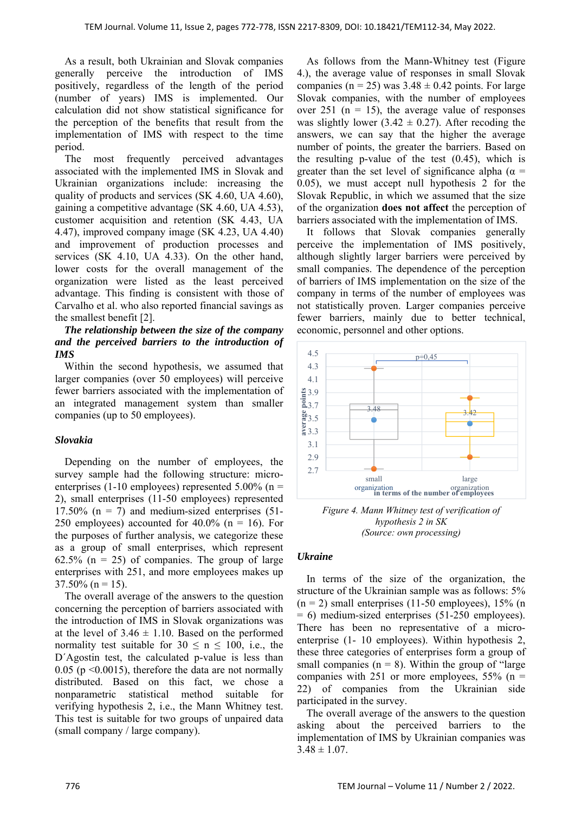As a result, both Ukrainian and Slovak companies generally perceive the introduction of IMS positively, regardless of the length of the period (number of years) IMS is implemented. Our calculation did not show statistical significance for the perception of the benefits that result from the implementation of IMS with respect to the time period.

The most frequently perceived advantages associated with the implemented IMS in Slovak and Ukrainian organizations include: increasing the quality of products and services (SK 4.60, UA 4.60), gaining a competitive advantage (SK 4.60, UA 4.53), customer acquisition and retention (SK 4.43, UA 4.47), improved company image (SK 4.23, UA 4.40) and improvement of production processes and services (SK 4.10, UA 4.33). On the other hand, lower costs for the overall management of the organization were listed as the least perceived advantage. This finding is consistent with those of Carvalho et al. who also reported financial savings as the smallest benefit [2].

#### *The relationship between the size of the company and the perceived barriers to the introduction of IMS*

Within the second hypothesis, we assumed that larger companies (over 50 employees) will perceive fewer barriers associated with the implementation of an integrated management system than smaller companies (up to 50 employees).

## *Slovakia*

Depending on the number of employees, the survey sample had the following structure: microenterprises (1-10 employees) represented  $5.00\%$  (n = 2), small enterprises (11-50 employees) represented 17.50% ( $n = 7$ ) and medium-sized enterprises (51-250 employees) accounted for 40.0% ( $n = 16$ ). For the purposes of further analysis, we categorize these as a group of small enterprises, which represent 62.5% ( $n = 25$ ) of companies. The group of large enterprises with 251, and more employees makes up  $37.50\%$  (n = 15).

The overall average of the answers to the question concerning the perception of barriers associated with the introduction of IMS in Slovak organizations was at the level of  $3.46 \pm 1.10$ . Based on the performed normality test suitable for  $30 \le n \le 100$ , i.e., the D´Agostin test, the calculated p-value is less than 0.05 ( $p \le 0.0015$ ), therefore the data are not normally distributed. Based on this fact, we chose a nonparametric statistical method suitable for verifying hypothesis 2, i.e., the Mann Whitney test. This test is suitable for two groups of unpaired data (small company / large company).

As follows from the Mann-Whitney test (Figure 4.), the average value of responses in small Slovak companies (n = 25) was  $3.48 \pm 0.42$  points. For large Slovak companies, with the number of employees over 251 ( $n = 15$ ), the average value of responses was slightly lower (3.42  $\pm$  0.27). After recoding the answers, we can say that the higher the average number of points, the greater the barriers. Based on the resulting p-value of the test (0.45), which is greater than the set level of significance alpha ( $\alpha$  = 0.05), we must accept null hypothesis 2 for the Slovak Republic, in which we assumed that the size of the organization **does not affect** the perception of barriers associated with the implementation of IMS.

It follows that Slovak companies generally perceive the implementation of IMS positively, although slightly larger barriers were perceived by small companies. The dependence of the perception of barriers of IMS implementation on the size of the company in terms of the number of employees was not statistically proven. Larger companies perceive fewer barriers, mainly due to better technical, economic, personnel and other options.



*Figure 4. Mann Whitney test of verification of hypothesis 2 in SK (Source: own processing)* 

## *Ukraine*

In terms of the size of the organization, the structure of the Ukrainian sample was as follows: 5%  $(n = 2)$  small enterprises (11-50 employees), 15% (n = 6) medium-sized enterprises (51-250 employees). There has been no representative of a microenterprise (1- 10 employees). Within hypothesis 2, these three categories of enterprises form a group of small companies ( $n = 8$ ). Within the group of "large" companies with 251 or more employees,  $55\%$  (n = 22) of companies from the Ukrainian side participated in the survey.

The overall average of the answers to the question asking about the perceived barriers to the implementation of IMS by Ukrainian companies was  $3.48 \pm 1.07$ .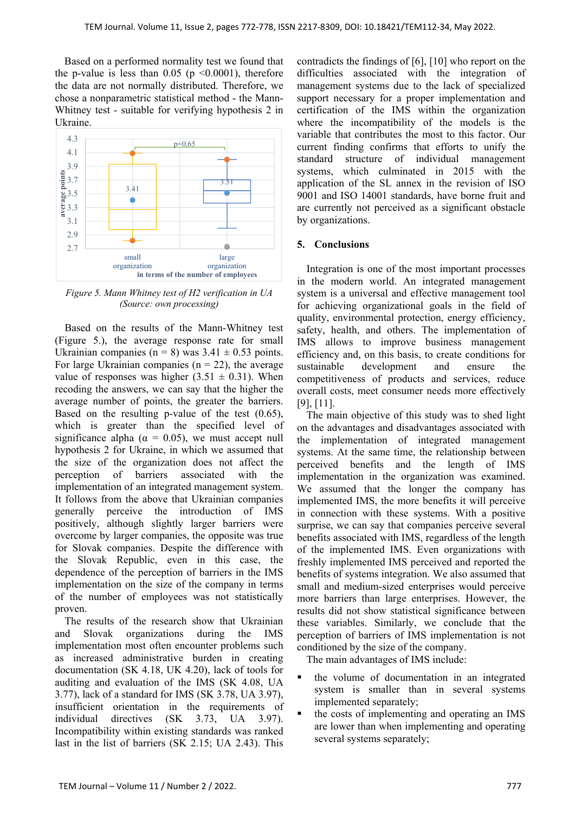Based on a performed normality test we found that the p-value is less than  $0.05$  (p <0.0001), therefore the data are not normally distributed. Therefore, we chose a nonparametric statistical method - the Mann-Whitney test - suitable for verifying hypothesis 2 in Ukraine.



*Figure 5. Mann Whitney test of H2 verification in UA (Source: own processing)* 

Based on the results of the Mann-Whitney test (Figure 5.), the average response rate for small Ukrainian companies (n = 8) was  $3.41 \pm 0.53$  points. For large Ukrainian companies ( $n = 22$ ), the average value of responses was higher  $(3.51 \pm 0.31)$ . When recoding the answers, we can say that the higher the average number of points, the greater the barriers. Based on the resulting p-value of the test (0.65), which is greater than the specified level of significance alpha ( $\alpha = 0.05$ ), we must accept null hypothesis 2 for Ukraine, in which we assumed that the size of the organization does not affect the perception of barriers associated with the implementation of an integrated management system. It follows from the above that Ukrainian companies generally perceive the introduction of IMS positively, although slightly larger barriers were overcome by larger companies, the opposite was true for Slovak companies. Despite the difference with the Slovak Republic, even in this case, the dependence of the perception of barriers in the IMS implementation on the size of the company in terms of the number of employees was not statistically proven.

The results of the research show that Ukrainian and Slovak organizations during the IMS implementation most often encounter problems such as increased administrative burden in creating documentation (SK 4.18, UK 4.20), lack of tools for auditing and evaluation of the IMS (SK 4.08, UA 3.77), lack of a standard for IMS (SK 3.78, UA 3.97), insufficient orientation in the requirements of individual directives (SK 3.73, UA 3.97). Incompatibility within existing standards was ranked last in the list of barriers (SK 2.15; UA 2.43). This

contradicts the findings of [6], [10] who report on the difficulties associated with the integration of management systems due to the lack of specialized support necessary for a proper implementation and certification of the IMS within the organization where the incompatibility of the models is the variable that contributes the most to this factor. Our current finding confirms that efforts to unify the standard structure of individual management systems, which culminated in 2015 with the application of the SL annex in the revision of ISO 9001 and ISO 14001 standards, have borne fruit and are currently not perceived as a significant obstacle by organizations.

#### **5. Conclusions**

Integration is one of the most important processes in the modern world. An integrated management system is a universal and effective management tool for achieving organizational goals in the field of quality, environmental protection, energy efficiency, safety, health, and others. The implementation of IMS allows to improve business management efficiency and, on this basis, to create conditions for sustainable development and ensure the competitiveness of products and services, reduce overall costs, meet consumer needs more effectively [9], [11].

The main objective of this study was to shed light on the advantages and disadvantages associated with the implementation of integrated management systems. At the same time, the relationship between perceived benefits and the length of IMS implementation in the organization was examined. We assumed that the longer the company has implemented IMS, the more benefits it will perceive in connection with these systems. With a positive surprise, we can say that companies perceive several benefits associated with IMS, regardless of the length of the implemented IMS. Even organizations with freshly implemented IMS perceived and reported the benefits of systems integration. We also assumed that small and medium-sized enterprises would perceive more barriers than large enterprises. However, the results did not show statistical significance between these variables. Similarly, we conclude that the perception of barriers of IMS implementation is not conditioned by the size of the company.

The main advantages of IMS include:

- the volume of documentation in an integrated system is smaller than in several systems implemented separately;
- the costs of implementing and operating an IMS are lower than when implementing and operating several systems separately;